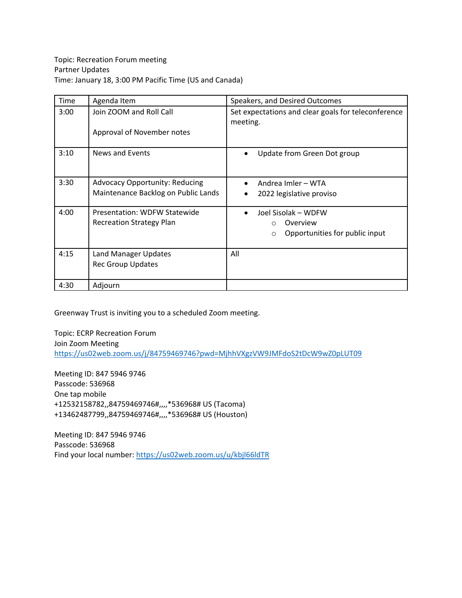| Time | Agenda Item                                                                  | Speakers, and Desired Outcomes                                                                       |
|------|------------------------------------------------------------------------------|------------------------------------------------------------------------------------------------------|
| 3:00 | Join ZOOM and Roll Call<br>Approval of November notes                        | Set expectations and clear goals for teleconference<br>meeting.                                      |
| 3:10 | News and Events                                                              | Update from Green Dot group                                                                          |
| 3:30 | <b>Advocacy Opportunity: Reducing</b><br>Maintenance Backlog on Public Lands | Andrea Imler - WTA<br>2022 legislative proviso                                                       |
| 4:00 | Presentation: WDFW Statewide<br><b>Recreation Strategy Plan</b>              | Joel Sisolak - WDFW<br>$\bullet$<br>Overview<br>$\circ$<br>Opportunities for public input<br>$\circ$ |
| 4:15 | Land Manager Updates<br><b>Rec Group Updates</b>                             | All                                                                                                  |
| 4:30 | Adjourn                                                                      |                                                                                                      |

Greenway Trust is inviting you to a scheduled Zoom meeting.

Topic: ECRP Recreation Forum Join Zoom Meeting <https://us02web.zoom.us/j/84759469746?pwd=MjhhVXgzVW9JMFdoS2tDcW9wZ0pLUT09>

Meeting ID: 847 5946 9746 Passcode: 536968 One tap mobile +12532158782,,84759469746#,,,,\*536968# US (Tacoma) +13462487799,,84759469746#,,,,\*536968# US (Houston)

Meeting ID: 847 5946 9746 Passcode: 536968 Find your local number[: https://us02web.zoom.us/u/kbjl66ldTR](https://us02web.zoom.us/u/kbjl66ldTR)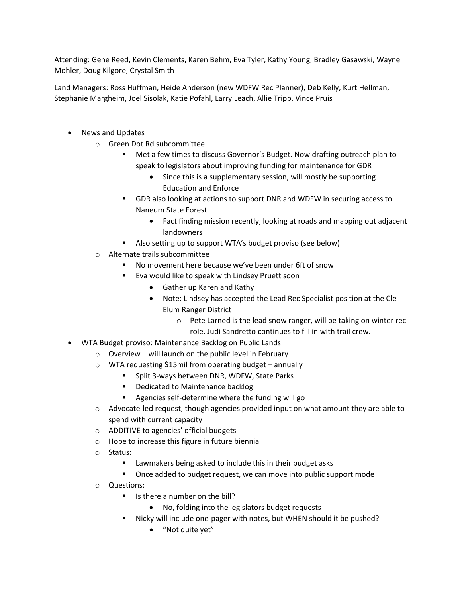Attending: Gene Reed, Kevin Clements, Karen Behm, Eva Tyler, Kathy Young, Bradley Gasawski, Wayne Mohler, Doug Kilgore, Crystal Smith

Land Managers: Ross Huffman, Heide Anderson (new WDFW Rec Planner), Deb Kelly, Kurt Hellman, Stephanie Margheim, Joel Sisolak, Katie Pofahl, Larry Leach, Allie Tripp, Vince Pruis

- News and Updates
	- o Green Dot Rd subcommittee
		- Met a few times to discuss Governor's Budget. Now drafting outreach plan to speak to legislators about improving funding for maintenance for GDR
			- Since this is a supplementary session, will mostly be supporting Education and Enforce
		- GDR also looking at actions to support DNR and WDFW in securing access to Naneum State Forest.
			- Fact finding mission recently, looking at roads and mapping out adjacent landowners
		- Also setting up to support WTA's budget proviso (see below)
	- o Alternate trails subcommittee
		- No movement here because we've been under 6ft of snow
		- Eva would like to speak with Lindsey Pruett soon
			- Gather up Karen and Kathy
			- Note: Lindsey has accepted the Lead Rec Specialist position at the Cle
				- Elum Ranger District
					- o Pete Larned is the lead snow ranger, will be taking on winter rec role. Judi Sandretto continues to fill in with trail crew.
- WTA Budget proviso: Maintenance Backlog on Public Lands
	- $\circ$  Overview will launch on the public level in February
	- o WTA requesting \$15mil from operating budget annually
		- **Split 3-ways between DNR, WDFW, State Parks**
		- **•** Dedicated to Maintenance backlog
		- Agencies self-determine where the funding will go
	- $\circ$  Advocate-led request, though agencies provided input on what amount they are able to spend with current capacity
	- o ADDITIVE to agencies' official budgets
	- o Hope to increase this figure in future biennia
	- o Status:
		- Lawmakers being asked to include this in their budget asks
		- Once added to budget request, we can move into public support mode
	- o Questions:
		- $\blacksquare$  Is there a number on the bill?
			- No, folding into the legislators budget requests
		- Nicky will include one-pager with notes, but WHEN should it be pushed?
			- "Not quite yet"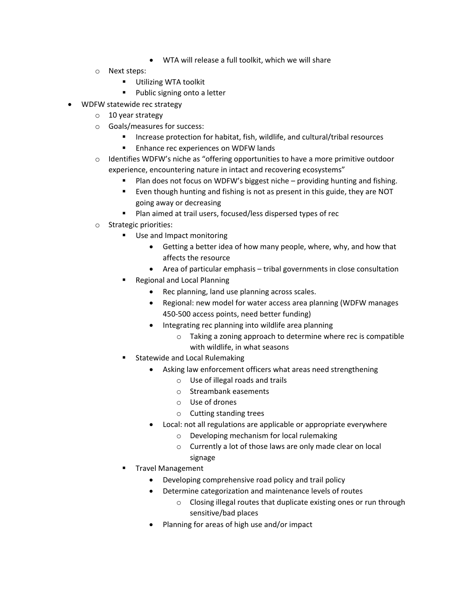- WTA will release a full toolkit, which we will share
- o Next steps:
	- **Utilizing WTA toolkit**
	- **Public signing onto a letter**
- WDFW statewide rec strategy
	- o 10 year strategy
	- o Goals/measures for success:
		- Increase protection for habitat, fish, wildlife, and cultural/tribal resources
		- **Enhance rec experiences on WDFW lands**
	- $\circ$  Identifies WDFW's niche as "offering opportunities to have a more primitive outdoor experience, encountering nature in intact and recovering ecosystems"
		- Plan does not focus on WDFW's biggest niche providing hunting and fishing.
		- Even though hunting and fishing is not as present in this guide, they are NOT going away or decreasing
		- Plan aimed at trail users, focused/less dispersed types of rec
	- o Strategic priorities:
		- **Use and Impact monitoring** 
			- Getting a better idea of how many people, where, why, and how that affects the resource
			- Area of particular emphasis tribal governments in close consultation
		- Regional and Local Planning
			- Rec planning, land use planning across scales.
			- Regional: new model for water access area planning (WDFW manages 450-500 access points, need better funding)
			- Integrating rec planning into wildlife area planning
				- o Taking a zoning approach to determine where rec is compatible with wildlife, in what seasons
		- Statewide and Local Rulemaking
			- Asking law enforcement officers what areas need strengthening
				- o Use of illegal roads and trails
				- o Streambank easements
				- o Use of drones
				- o Cutting standing trees
			- Local: not all regulations are applicable or appropriate everywhere
				- o Developing mechanism for local rulemaking
				- o Currently a lot of those laws are only made clear on local signage
		- Travel Management
			- Developing comprehensive road policy and trail policy
			- Determine categorization and maintenance levels of routes
				- o Closing illegal routes that duplicate existing ones or run through sensitive/bad places
			- Planning for areas of high use and/or impact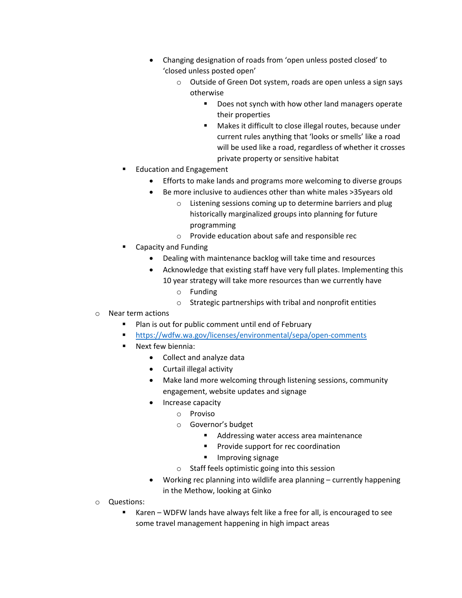- Changing designation of roads from 'open unless posted closed' to 'closed unless posted open'
	- o Outside of Green Dot system, roads are open unless a sign says otherwise
		- Does not synch with how other land managers operate their properties
		- **Makes it difficult to close illegal routes, because under** current rules anything that 'looks or smells' like a road will be used like a road, regardless of whether it crosses private property or sensitive habitat
- Education and Engagement
	- Efforts to make lands and programs more welcoming to diverse groups
	- Be more inclusive to audiences other than white males >35years old
		- o Listening sessions coming up to determine barriers and plug historically marginalized groups into planning for future programming
		- o Provide education about safe and responsible rec
- Capacity and Funding
	- Dealing with maintenance backlog will take time and resources
	- Acknowledge that existing staff have very full plates. Implementing this 10 year strategy will take more resources than we currently have
		- o Funding
		- o Strategic partnerships with tribal and nonprofit entities
- o Near term actions
	- **Plan is out for public comment until end of February**
	- <https://wdfw.wa.gov/licenses/environmental/sepa/open-comments>
	- Next few biennia:
		- Collect and analyze data
		- Curtail illegal activity
		- Make land more welcoming through listening sessions, community engagement, website updates and signage
		- Increase capacity
			- o Proviso
			- o Governor's budget
				- **Addressing water access area maintenance**
				- **Provide support for rec coordination**
				- **Improving signage**
			- o Staff feels optimistic going into this session
		- Working rec planning into wildlife area planning currently happening in the Methow, looking at Ginko
- o Questions:
	- Karen WDFW lands have always felt like a free for all, is encouraged to see some travel management happening in high impact areas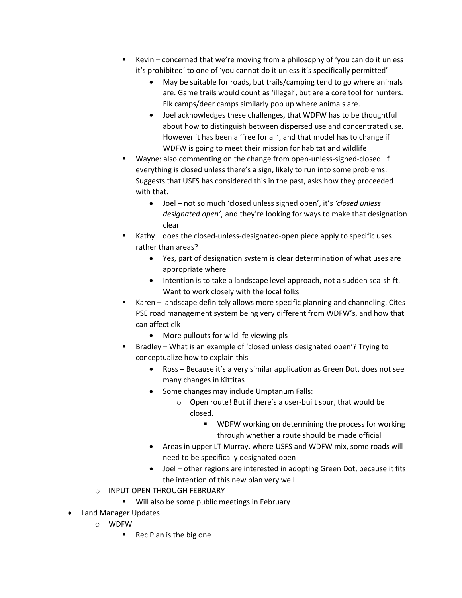- Kevin concerned that we're moving from a philosophy of 'you can do it unless it's prohibited' to one of 'you cannot do it unless it's specifically permitted'
	- May be suitable for roads, but trails/camping tend to go where animals are. Game trails would count as 'illegal', but are a core tool for hunters. Elk camps/deer camps similarly pop up where animals are.
	- Joel acknowledges these challenges, that WDFW has to be thoughtful about how to distinguish between dispersed use and concentrated use. However it has been a 'free for all', and that model has to change if WDFW is going to meet their mission for habitat and wildlife
- Wayne: also commenting on the change from open-unless-signed-closed. If everything is closed unless there's a sign, likely to run into some problems. Suggests that USFS has considered this in the past, asks how they proceeded with that.
	- Joel not so much 'closed unless signed open', it's *'closed unless designated open'¸* and they're looking for ways to make that designation clear
- Kathy does the closed-unless-designated-open piece apply to specific uses rather than areas?
	- Yes, part of designation system is clear determination of what uses are appropriate where
	- Intention is to take a landscape level approach, not a sudden sea-shift. Want to work closely with the local folks
- Karen landscape definitely allows more specific planning and channeling. Cites PSE road management system being very different from WDFW's, and how that can affect elk
	- More pullouts for wildlife viewing pls
- Bradley What is an example of 'closed unless designated open'? Trying to conceptualize how to explain this
	- Ross Because it's a very similar application as Green Dot, does not see many changes in Kittitas
	- Some changes may include Umptanum Falls:
		- o Open route! But if there's a user-built spur, that would be closed.
			- **WDFW working on determining the process for working** through whether a route should be made official
	- Areas in upper LT Murray, where USFS and WDFW mix, some roads will need to be specifically designated open
	- Joel other regions are interested in adopting Green Dot, because it fits the intention of this new plan very well
- o INPUT OPEN THROUGH FEBRUARY
	- Will also be some public meetings in February
- Land Manager Updates
	- o WDFW
		- Rec Plan is the big one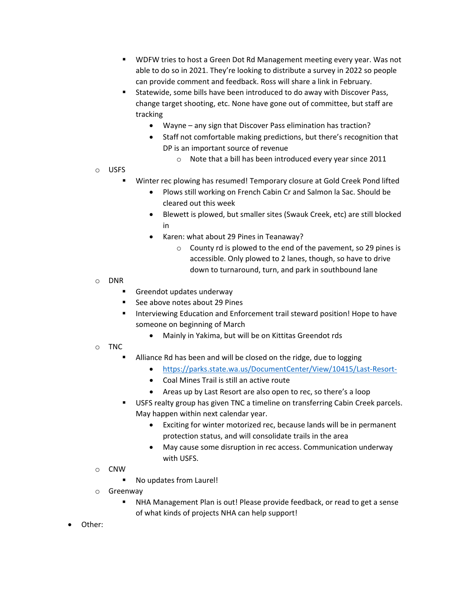- WDFW tries to host a Green Dot Rd Management meeting every year. Was not able to do so in 2021. They're looking to distribute a survey in 2022 so people can provide comment and feedback. Ross will share a link in February.
- Statewide, some bills have been introduced to do away with Discover Pass, change target shooting, etc. None have gone out of committee, but staff are tracking
	- Wayne any sign that Discover Pass elimination has traction?
	- Staff not comfortable making predictions, but there's recognition that DP is an important source of revenue
		- o Note that a bill has been introduced every year since 2011
- o USFS
	- Winter rec plowing has resumed! Temporary closure at Gold Creek Pond lifted
		- Plows still working on French Cabin Cr and Salmon la Sac. Should be cleared out this week
		- Blewett is plowed, but smaller sites (Swauk Creek, etc) are still blocked in
		- Karen: what about 29 Pines in Teanaway?
			- o County rd is plowed to the end of the pavement, so 29 pines is accessible. Only plowed to 2 lanes, though, so have to drive down to turnaround, turn, and park in southbound lane
- o DNR
	- Greendot updates underway
	- See above notes about 29 Pines
	- Interviewing Education and Enforcement trail steward position! Hope to have someone on beginning of March
		- Mainly in Yakima, but will be on Kittitas Greendot rds
- o TNC
	- Alliance Rd has been and will be closed on the ridge, due to logging
		- <https://parks.state.wa.us/DocumentCenter/View/10415/Last-Resort->
		- Coal Mines Trail is still an active route
		- Areas up by Last Resort are also open to rec, so there's a loop
	- **USFS realty group has given TNC a timeline on transferring Cabin Creek parcels.** May happen within next calendar year.
		- Exciting for winter motorized rec, because lands will be in permanent protection status, and will consolidate trails in the area
		- May cause some disruption in rec access. Communication underway with USFS.
- o CNW
	- No updates from Laurel!
- o Greenway
	- NHA Management Plan is out! Please provide feedback, or read to get a sense of what kinds of projects NHA can help support!
- Other: